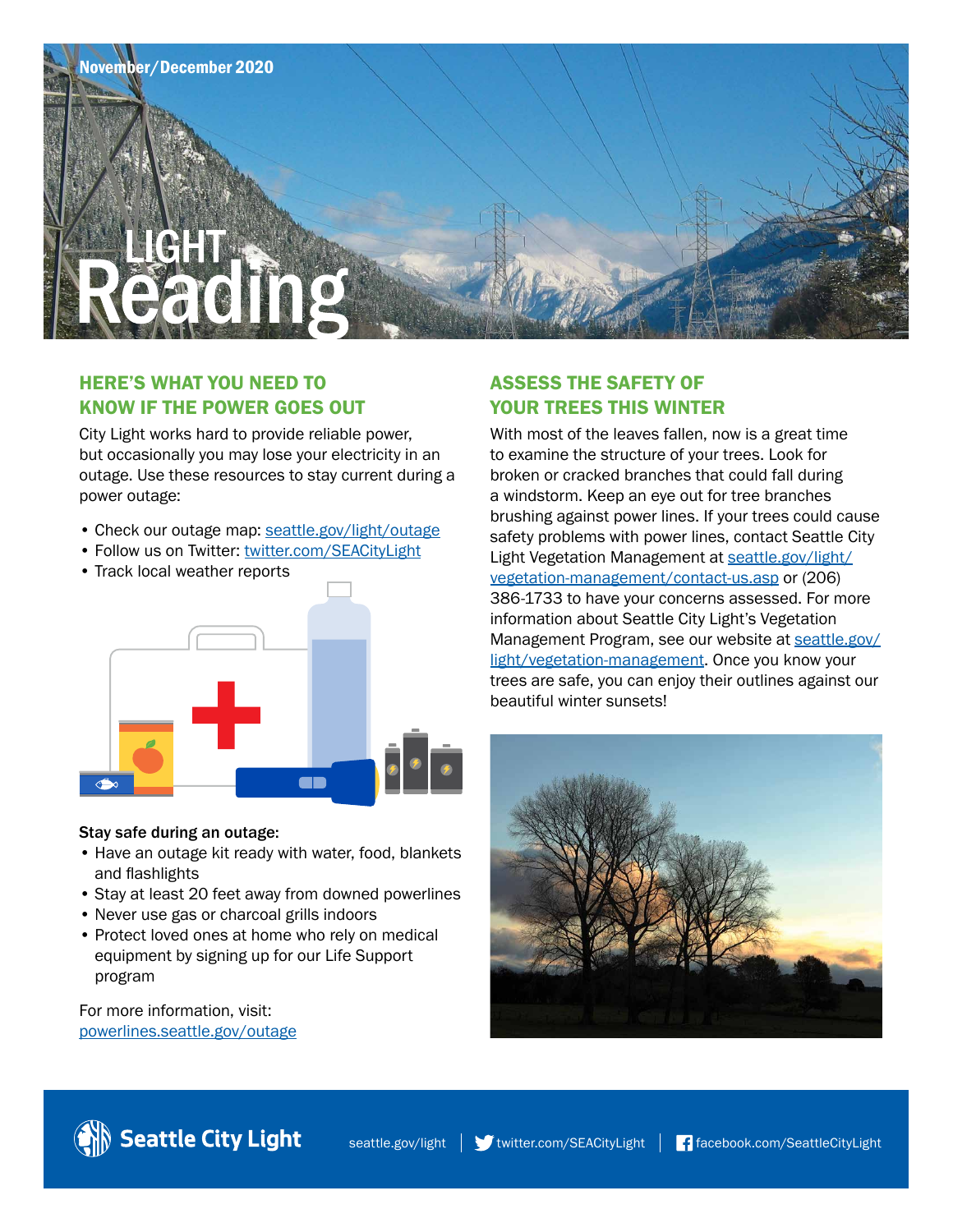

## HERE'S WHAT YOU NEED TO KNOW IF THE POWER GOES OUT

City Light works hard to provide reliable power, but occasionally you may lose your electricity in an outage. Use these resources to stay current during a power outage:

- Check our outage map: [seattle.gov/light/outage](http://www.seattle.gov/light/outage)
- Follow us on Twitter: [twitter.com/SEACityLight](http://www.twitter.com/SEACityLight)
- Track local weather reports



#### Stay safe during an outage:

- Have an outage kit ready with water, food, blankets and flashlights
- Stay at least 20 feet away from downed powerlines
- Never use gas or charcoal grills indoors
- Protect loved ones at home who rely on medical equipment by signing up for our Life Support program

For more information, visit: [powerlines.seattle.gov/outage](http://www.powerlines.seattle.gov/outage)

# ASSESS THE SAFETY OF YOUR TREES THIS WINTER

With most of the leaves fallen, now is a great time to examine the structure of your trees. Look for broken or cracked branches that could fall during a windstorm. Keep an eye out for tree branches brushing against power lines. If your trees could cause safety problems with power lines, contact Seattle City [Light Vegetation Management at seattle.gov/light/](http://www.seattle.gov/light/vegetation-management/contact-us.asp) vegetation-management/contact-us.asp or (206) 386-1733 to have your concerns assessed. For more information about Seattle City Light's Vegetation [Management Program, see our website at seattle.gov/](http://www.seattle.gov/light/vegetation-management) light/vegetation-management. Once you know your trees are safe, you can enjoy their outlines against our beautiful winter sunsets!